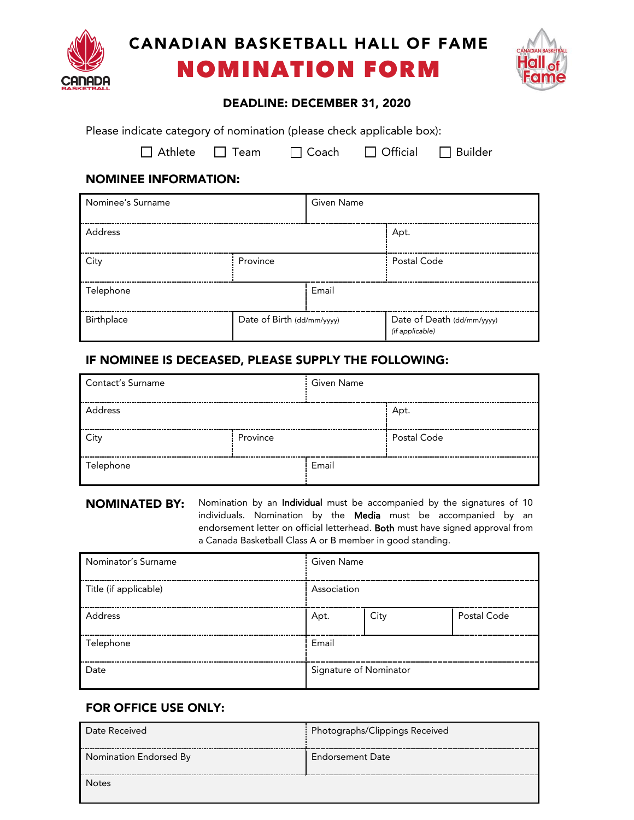

# CANADIAN BASKETBALL HALL OF FAME NOMINATION FORM



#### DEADLINE: DECEMBER 31, 2020

Please indicate category of nomination (please check applicable box):

 $\Box$  Athlete  $\Box$  Team  $\Box$  Coach  $\Box$  Official  $\Box$  Builder

## NOMINEE INFORMATION:

| Nominee's Surname |                            | <b>Given Name</b> |                                               |
|-------------------|----------------------------|-------------------|-----------------------------------------------|
| Address           |                            |                   | Apt.                                          |
| City              | Province                   |                   | Postal Code                                   |
| Telephone         |                            | Email             |                                               |
| Birthplace        | Date of Birth (dd/mm/yyyy) |                   | Date of Death (dd/mm/yyyy)<br>(if applicable) |

# IF NOMINEE IS DECEASED, PLEASE SUPPLY THE FOLLOWING:

| <b>Contact's Surname</b> |          | <b>Given Name</b> |             |
|--------------------------|----------|-------------------|-------------|
| Address                  |          |                   | Apt.        |
| City                     | Province |                   | Postal Code |
| Telephone                |          | Email             |             |

NOMINATED BY: Nomination by an Individual must be accompanied by the signatures of 10 individuals. Nomination by the Media must be accompanied by an endorsement letter on official letterhead. Both must have signed approval from a Canada Basketball Class A or B member in good standing.

| Nominator's Surname   | Given Name             |      |             |
|-----------------------|------------------------|------|-------------|
| Title (if applicable) | Association            |      |             |
| Address               | Apt.                   | City | Postal Code |
| Telephone             | Email                  |      |             |
| Date                  | Signature of Nominator |      |             |

# FOR OFFICE USE ONLY:

| Date Received          | Photographs/Clippings Received |
|------------------------|--------------------------------|
| Nomination Endorsed By | Endorsement Date               |
| <b>Notes</b>           |                                |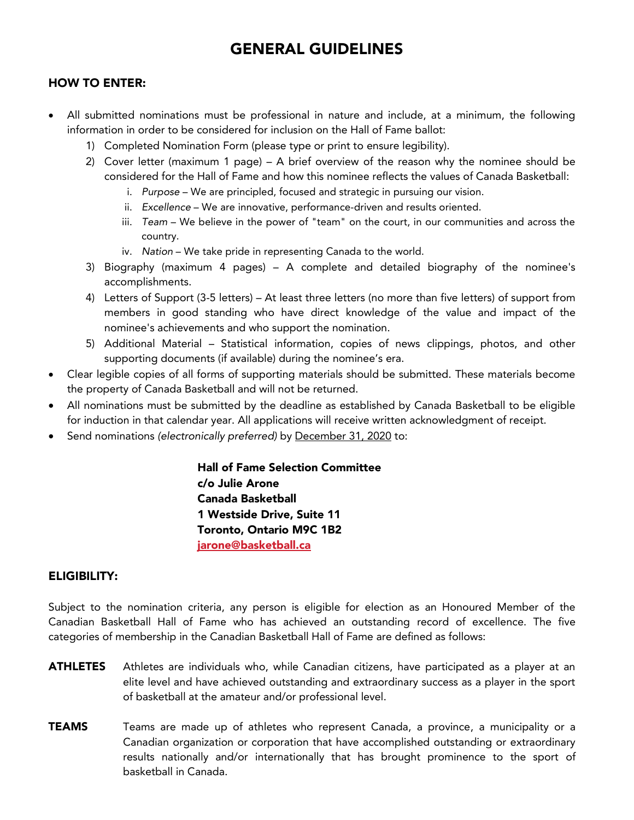# GENERAL GUIDELINES

### HOW TO ENTER:

- All submitted nominations must be professional in nature and include, at a minimum, the following information in order to be considered for inclusion on the Hall of Fame ballot:
	- 1) Completed Nomination Form (please type or print to ensure legibility).
	- 2) Cover letter (maximum 1 page) A brief overview of the reason why the nominee should be considered for the Hall of Fame and how this nominee reflects the values of Canada Basketball:
		- i. *Purpose* We are principled, focused and strategic in pursuing our vision.
		- ii. *Excellence* We are innovative, performance-driven and results oriented.
		- iii. *Team* We believe in the power of "team" on the court, in our communities and across the country.
		- iv. *Nation* We take pride in representing Canada to the world.
	- 3) Biography (maximum 4 pages) A complete and detailed biography of the nominee's accomplishments.
	- 4) Letters of Support (3-5 letters) At least three letters (no more than five letters) of support from members in good standing who have direct knowledge of the value and impact of the nominee's achievements and who support the nomination.
	- 5) Additional Material Statistical information, copies of news clippings, photos, and other supporting documents (if available) during the nominee's era.
- Clear legible copies of all forms of supporting materials should be submitted. These materials become the property of Canada Basketball and will not be returned.
- All nominations must be submitted by the deadline as established by Canada Basketball to be eligible for induction in that calendar year. All applications will receive written acknowledgment of receipt.
- Send nominations *(electronically preferred)* by December 31, 2020 to:

Hall of Fame Selection Committee c/o Julie Arone Canada Basketball 1 Westside Drive, Suite 11 Toronto, Ontario M9C 1B2 [jarone@basketball.ca](mailto:jarone@basketball.ca)

#### ELIGIBILITY:

Subject to the nomination criteria, any person is eligible for election as an Honoured Member of the Canadian Basketball Hall of Fame who has achieved an outstanding record of excellence. The five categories of membership in the Canadian Basketball Hall of Fame are defined as follows:

- ATHLETES Athletes are individuals who, while Canadian citizens, have participated as a player at an elite level and have achieved outstanding and extraordinary success as a player in the sport of basketball at the amateur and/or professional level.
- TEAMS Teams are made up of athletes who represent Canada, a province, a municipality or a Canadian organization or corporation that have accomplished outstanding or extraordinary results nationally and/or internationally that has brought prominence to the sport of basketball in Canada.